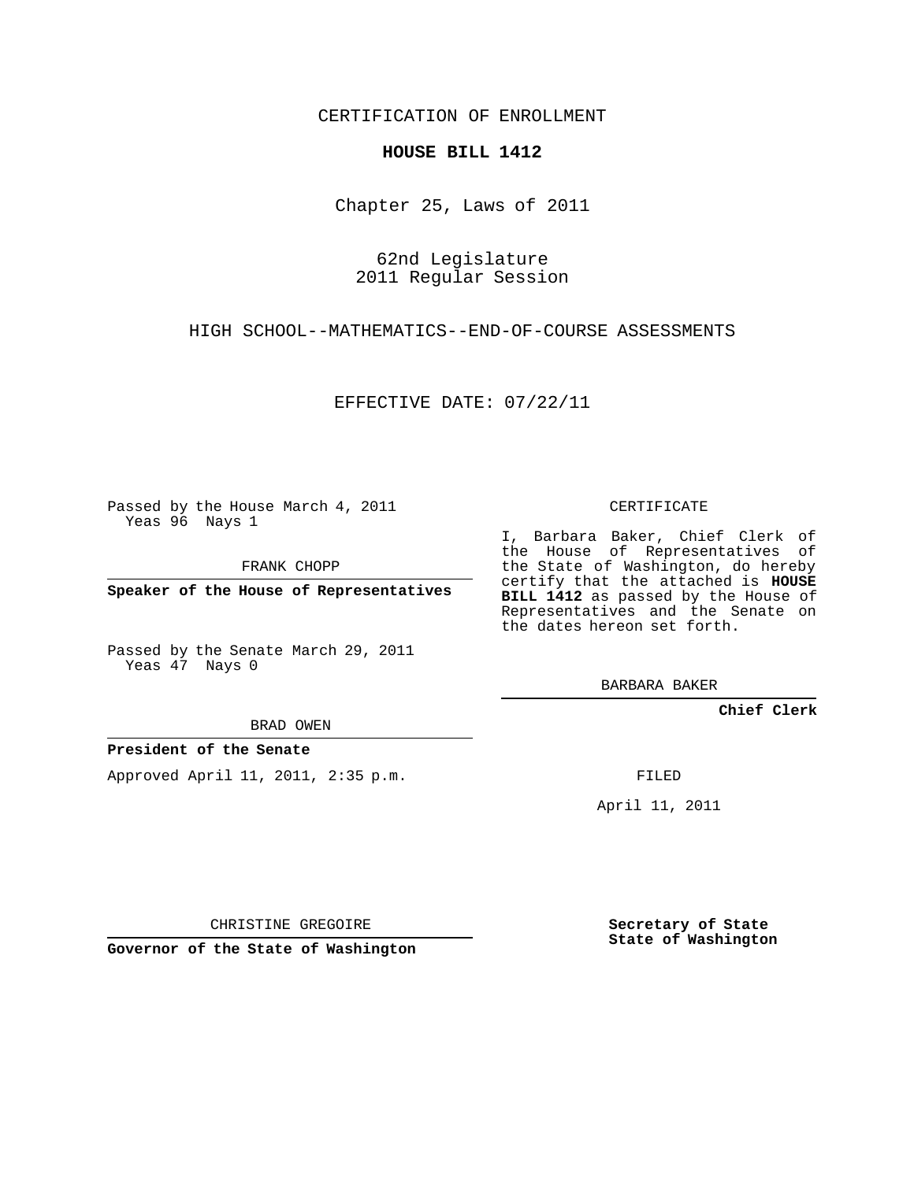CERTIFICATION OF ENROLLMENT

## **HOUSE BILL 1412**

Chapter 25, Laws of 2011

62nd Legislature 2011 Regular Session

HIGH SCHOOL--MATHEMATICS--END-OF-COURSE ASSESSMENTS

EFFECTIVE DATE: 07/22/11

Passed by the House March 4, 2011 Yeas 96 Nays 1

FRANK CHOPP

**Speaker of the House of Representatives**

Passed by the Senate March 29, 2011 Yeas 47 Nays 0

## BRAD OWEN

# **President of the Senate**

Approved April 11, 2011, 2:35 p.m.

### CERTIFICATE

I, Barbara Baker, Chief Clerk of the House of Representatives of the State of Washington, do hereby certify that the attached is **HOUSE BILL 1412** as passed by the House of Representatives and the Senate on the dates hereon set forth.

BARBARA BAKER

**Chief Clerk**

FILED

April 11, 2011

CHRISTINE GREGOIRE

**Governor of the State of Washington**

**Secretary of State State of Washington**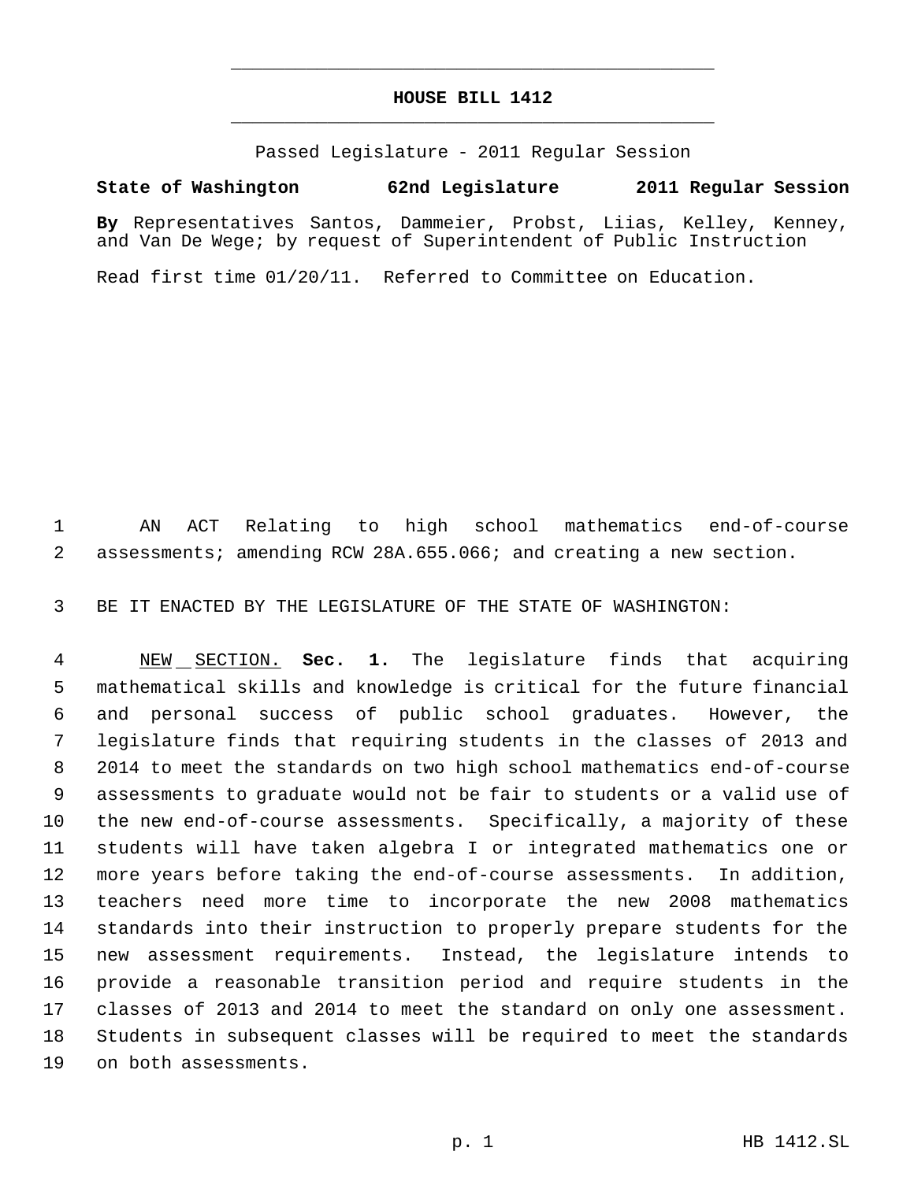# **HOUSE BILL 1412** \_\_\_\_\_\_\_\_\_\_\_\_\_\_\_\_\_\_\_\_\_\_\_\_\_\_\_\_\_\_\_\_\_\_\_\_\_\_\_\_\_\_\_\_\_

\_\_\_\_\_\_\_\_\_\_\_\_\_\_\_\_\_\_\_\_\_\_\_\_\_\_\_\_\_\_\_\_\_\_\_\_\_\_\_\_\_\_\_\_\_

Passed Legislature - 2011 Regular Session

# **State of Washington 62nd Legislature 2011 Regular Session**

**By** Representatives Santos, Dammeier, Probst, Liias, Kelley, Kenney, and Van De Wege; by request of Superintendent of Public Instruction

Read first time 01/20/11. Referred to Committee on Education.

 AN ACT Relating to high school mathematics end-of-course assessments; amending RCW 28A.655.066; and creating a new section.

BE IT ENACTED BY THE LEGISLATURE OF THE STATE OF WASHINGTON:

 NEW SECTION. **Sec. 1.** The legislature finds that acquiring mathematical skills and knowledge is critical for the future financial and personal success of public school graduates. However, the legislature finds that requiring students in the classes of 2013 and 2014 to meet the standards on two high school mathematics end-of-course assessments to graduate would not be fair to students or a valid use of the new end-of-course assessments. Specifically, a majority of these students will have taken algebra I or integrated mathematics one or more years before taking the end-of-course assessments. In addition, teachers need more time to incorporate the new 2008 mathematics standards into their instruction to properly prepare students for the new assessment requirements. Instead, the legislature intends to provide a reasonable transition period and require students in the classes of 2013 and 2014 to meet the standard on only one assessment. Students in subsequent classes will be required to meet the standards on both assessments.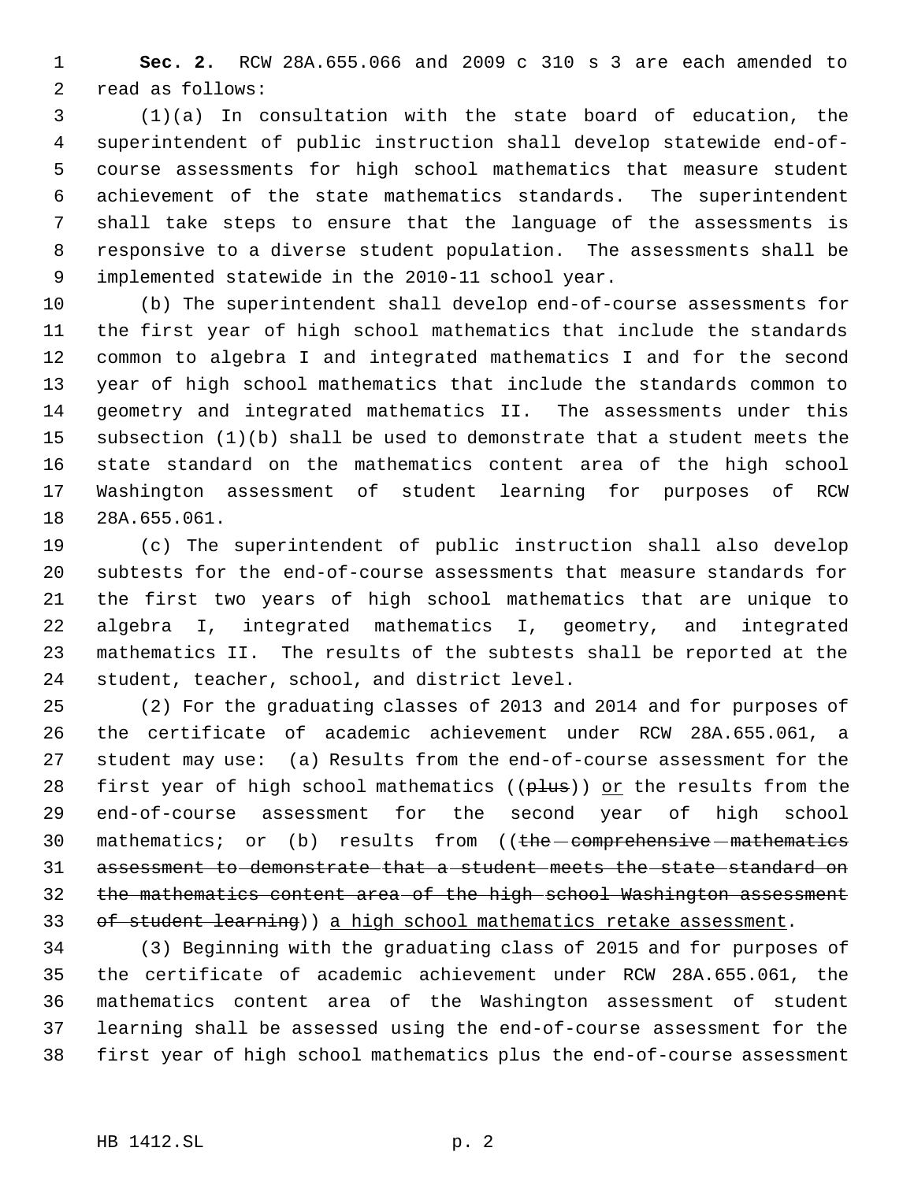**Sec. 2.** RCW 28A.655.066 and 2009 c 310 s 3 are each amended to read as follows:

 (1)(a) In consultation with the state board of education, the superintendent of public instruction shall develop statewide end-of- course assessments for high school mathematics that measure student achievement of the state mathematics standards. The superintendent shall take steps to ensure that the language of the assessments is responsive to a diverse student population. The assessments shall be implemented statewide in the 2010-11 school year.

 (b) The superintendent shall develop end-of-course assessments for the first year of high school mathematics that include the standards common to algebra I and integrated mathematics I and for the second year of high school mathematics that include the standards common to geometry and integrated mathematics II. The assessments under this subsection (1)(b) shall be used to demonstrate that a student meets the state standard on the mathematics content area of the high school Washington assessment of student learning for purposes of RCW 28A.655.061.

 (c) The superintendent of public instruction shall also develop subtests for the end-of-course assessments that measure standards for the first two years of high school mathematics that are unique to algebra I, integrated mathematics I, geometry, and integrated mathematics II. The results of the subtests shall be reported at the student, teacher, school, and district level.

 (2) For the graduating classes of 2013 and 2014 and for purposes of the certificate of academic achievement under RCW 28A.655.061, a student may use: (a) Results from the end-of-course assessment for the 28 first year of high school mathematics ( $(\text{plus})$ ) or the results from the end-of-course assessment for the second year of high school 30 mathematics; or (b) results from ((the comprehensive mathematics assessment to demonstrate that a student meets the state standard on the mathematics content area of the high school Washington assessment 33 of student learning) a high school mathematics retake assessment.

 (3) Beginning with the graduating class of 2015 and for purposes of the certificate of academic achievement under RCW 28A.655.061, the mathematics content area of the Washington assessment of student learning shall be assessed using the end-of-course assessment for the first year of high school mathematics plus the end-of-course assessment